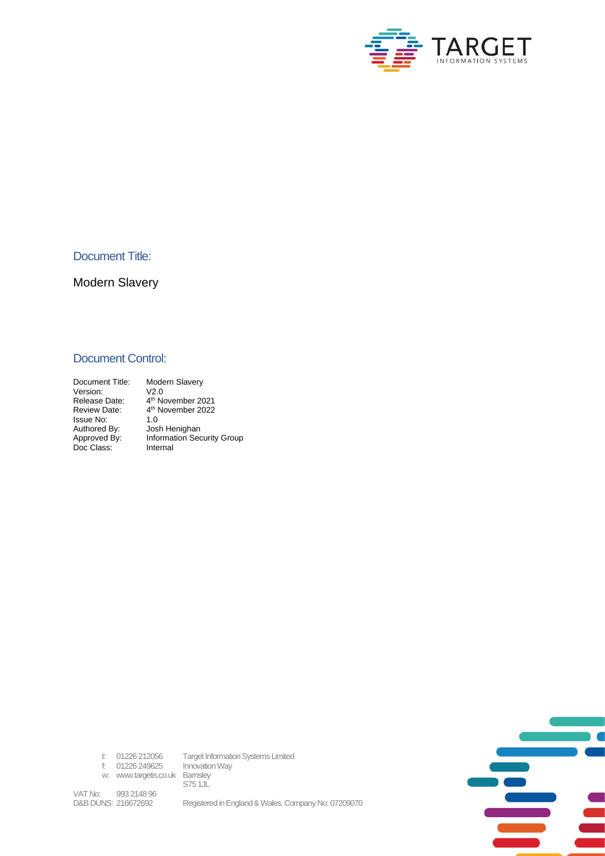

Document Title:

Modern Slavery

#### Document Control:

Document Title: Modern Slavery<br>Version: V2.0 Version: Release Date: <sup>th</sup> November 2021 Review Date: 4<sup>th</sup> N<br>Issue No: 1.0 th November 2022 Issue No:<br>Authored By: Authored By: Josh Henighan<br>Approved By: Information Sec Information Security Group Doc Class: Internal



t: 01226 212056 Target Information Systems Limited<br>f: 01226 249625 Innovation Way f:  $01226\,249625$ 

w: www.targetis.co.uk Barnsley

S75 1JL

VAT No: 993 2148 96

Registered in England & Wales, Company No: 07209070

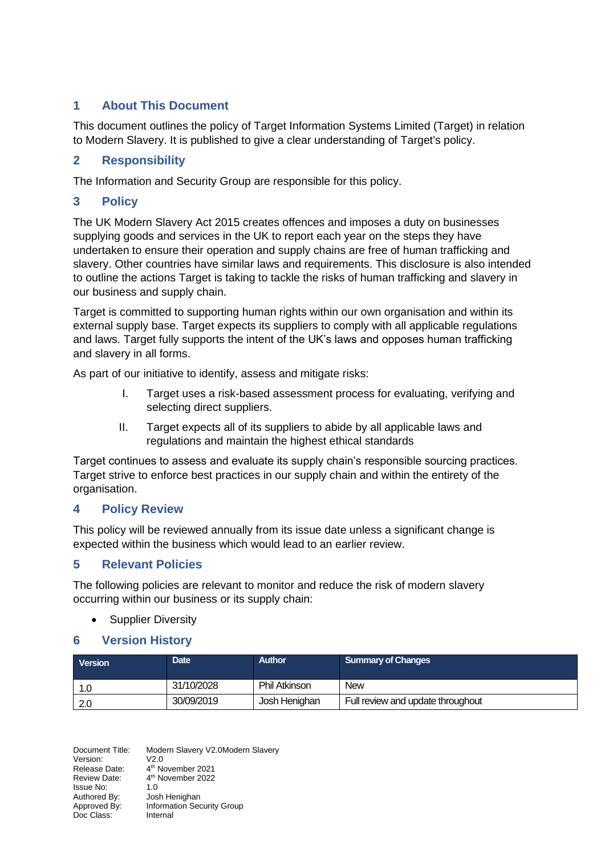# **1 About This Document**

This document outlines the policy of Target Information Systems Limited (Target) in relation to Modern Slavery. It is published to give a clear understanding of Target's policy.

# **2 Responsibility**

The Information and Security Group are responsible for this policy.

## **3 Policy**

The UK Modern Slavery Act 2015 creates offences and imposes a duty on businesses supplying goods and services in the UK to report each year on the steps they have undertaken to ensure their operation and supply chains are free of human trafficking and slavery. Other countries have similar laws and requirements. This disclosure is also intended to outline the actions Target is taking to tackle the risks of human trafficking and slavery in our business and supply chain.

Target is committed to supporting human rights within our own organisation and within its external supply base. Target expects its suppliers to comply with all applicable regulations and laws. Target fully supports the intent of the UK's laws and opposes human trafficking and slavery in all forms.

As part of our initiative to identify, assess and mitigate risks:

- I. Target uses a risk-based assessment process for evaluating, verifying and selecting direct suppliers.
- II. Target expects all of its suppliers to abide by all applicable laws and regulations and maintain the highest ethical standards

Target continues to assess and evaluate its supply chain's responsible sourcing practices. Target strive to enforce best practices in our supply chain and within the entirety of the organisation.

## **4 Policy Review**

This policy will be reviewed annually from its issue date unless a significant change is expected within the business which would lead to an earlier review.

## **5 Relevant Policies**

The following policies are relevant to monitor and reduce the risk of modern slavery occurring within our business or its supply chain:

**Supplier Diversity** 

## **6 Version History**

| <b>Version</b> | <b>Date</b> | <b>Author</b> | <b>Summary of Changes</b>         |
|----------------|-------------|---------------|-----------------------------------|
| 1.0            | 31/10/2028  | Phil Atkinson | <b>New</b>                        |
| 2.0            | 30/09/2019  | Josh Henighan | Full review and update throughout |

Document Title: Modern Slavery V2.0Modern Slavery Version: V2.0 Release Date: 4 4<sup>th</sup> November 2021 Review Date: 4<sup>th</sup> N<br>Issue No: 1.0 4<sup>th</sup> November 2022 Issue No:<br>Authored By: Authored By: Josh Henighan<br>Approved By: Information Sec Information Security Group<br>Internal Doc Class: